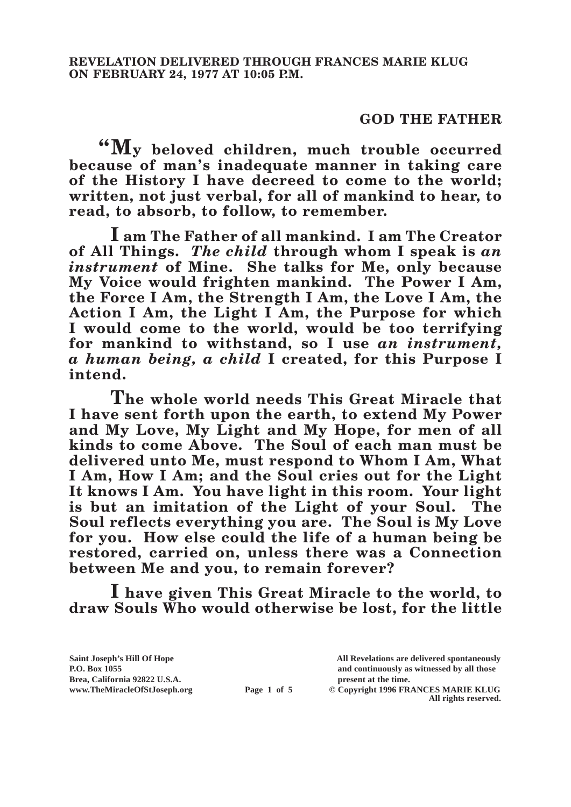## **GOD THE FATHER**

**"My beloved children, much trouble occurred because of man's inadequate manner in taking care of the History I have decreed to come to the world; written, not just verbal, for all of mankind to hear, to read, to absorb, to follow, to remember.**

**I am The Father of all mankind. I am The Creator of All Things.** *The child* **through whom I speak is** *an instrument* **of Mine. She talks for Me, only because My Voice would frighten mankind. The Power I Am, the Force I Am, the Strength I Am, the Love I Am, the Action I Am, the Light I Am, the Purpose for which I would come to the world, would be too terrifying for mankind to withstand, so I use** *an instrument, a human being, a child* **I created, for this Purpose I intend.**

**The whole world needs This Great Miracle that I have sent forth upon the earth, to extend My Power and My Love, My Light and My Hope, for men of all kinds to come Above. The Soul of each man must be delivered unto Me, must respond to Whom I Am, What I Am, How I Am; and the Soul cries out for the Light It knows I Am. You have light in this room. Your light is but an imitation of the Light of your Soul. The Soul reflects everything you are. The Soul is My Love for you. How else could the life of a human being be restored, carried on, unless there was a Connection between Me and you, to remain forever?**

**I have given This Great Miracle to the world, to draw Souls Who would otherwise be lost, for the little** 

Brea, California 92822 U.S.A.<br>
www.TheMiracleOfStJoseph.org<br> **Page 1 of 5** © Copyright 1996 FR.

**Saint Joseph's Hill Of Hope All Revelations are delivered spontaneously P.O. Box 1055 and continuously as witnessed by all those** 

**Page 1 of 5** © Copyright 1996 FRANCES MARIE KLUG **All rights reserved.**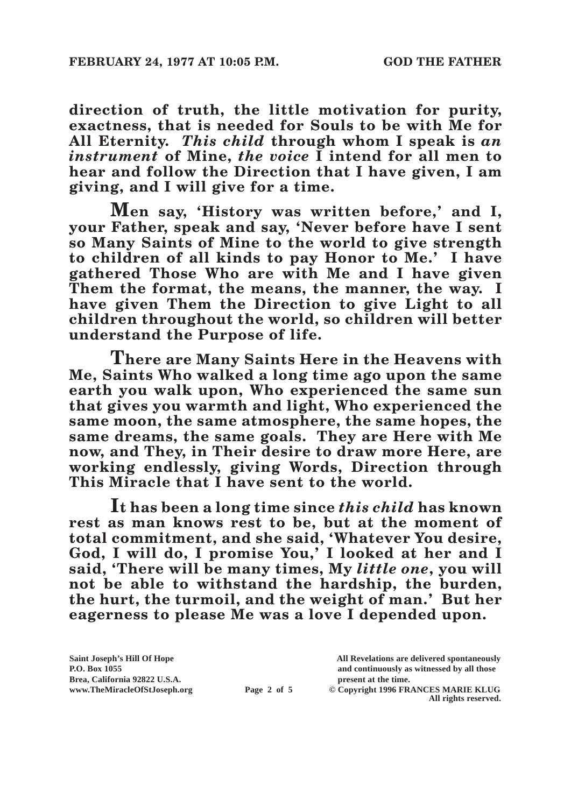**direction of truth, the little motivation for purity, exactness, that is needed for Souls to be with Me for All Eternity.** *This child* **through whom I speak is** *an instrument* **of Mine,** *the voice* **I intend for all men to hear and follow the Direction that I have given, I am giving, and I will give for a time.**

**Men say, 'History was written before,' and I, your Father, speak and say, 'Never before have I sent so Many Saints of Mine to the world to give strength to children of all kinds to pay Honor to Me.' I have gathered Those Who are with Me and I have given Them the format, the means, the manner, the way. I have given Them the Direction to give Light to all children throughout the world, so children will better understand the Purpose of life.**

**There are Many Saints Here in the Heavens with Me, Saints Who walked a long time ago upon the same earth you walk upon, Who experienced the same sun that gives you warmth and light, Who experienced the same moon, the same atmosphere, the same hopes, the same dreams, the same goals. They are Here with Me now, and They, in Their desire to draw more Here, are working endlessly, giving Words, Direction through This Miracle that I have sent to the world.**

**It has been a long time since** *this child* **has known rest as man knows rest to be, but at the moment of total commitment, and she said, 'Whatever You desire, God, I will do, I promise You,' I looked at her and I said, 'There will be many times, My** *little one***, you will not be able to withstand the hardship, the burden, the hurt, the turmoil, and the weight of man.' But her eagerness to please Me was a love I depended upon.**

**Saint Joseph's Hill Of Hope All Revelations are delivered spontaneously Brea, California 92822 U.S.A. present at the time.**<br> **Page 2 of 5** © Copyright 1996 FR.

**P.O. Box 1055 and continuously as witnessed by all those** 

**Page 2 of 5** © Copyright 1996 FRANCES MARIE KLUG **All rights reserved.**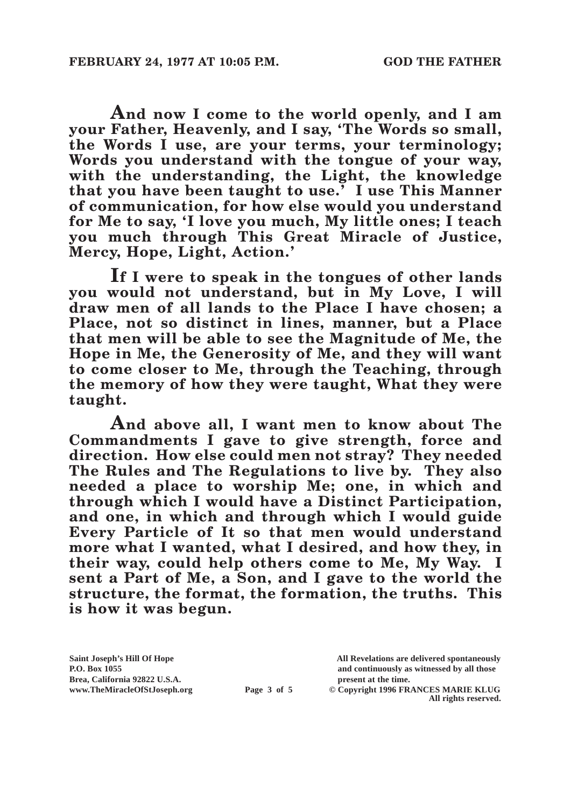**And now I come to the world openly, and I am your Father, Heavenly, and I say, 'The Words so small, the Words I use, are your terms, your terminology; Words you understand with the tongue of your way, with the understanding, the Light, the knowledge that you have been taught to use.' I use This Manner of communication, for how else would you understand for Me to say, 'I love you much, My little ones; I teach you much through This Great Miracle of Justice, Mercy, Hope, Light, Action.'**

**If I were to speak in the tongues of other lands you would not understand, but in My Love, I will draw men of all lands to the Place I have chosen; a Place, not so distinct in lines, manner, but a Place that men will be able to see the Magnitude of Me, the Hope in Me, the Generosity of Me, and they will want to come closer to Me, through the Teaching, through the memory of how they were taught, What they were taught.**

**And above all, I want men to know about The Commandments I gave to give strength, force and direction. How else could men not stray? They needed The Rules and The Regulations to live by. They also needed a place to worship Me; one, in which and through which I would have a Distinct Participation, and one, in which and through which I would guide Every Particle of It so that men would understand more what I wanted, what I desired, and how they, in their way, could help others come to Me, My Way. I sent a Part of Me, a Son, and I gave to the world the structure, the format, the formation, the truths. This is how it was begun.**

**Brea, California 92822 U.S.A. present at the time.**<br> **Page 3 of 5** © Copyright 1996 FR.

**Saint Joseph's Hill Of Hope All Revelations are delivered spontaneously P.O. Box 1055 and continuously as witnessed by all those** 

**Page 3 of 5** © Copyright 1996 FRANCES MARIE KLUG **All rights reserved.**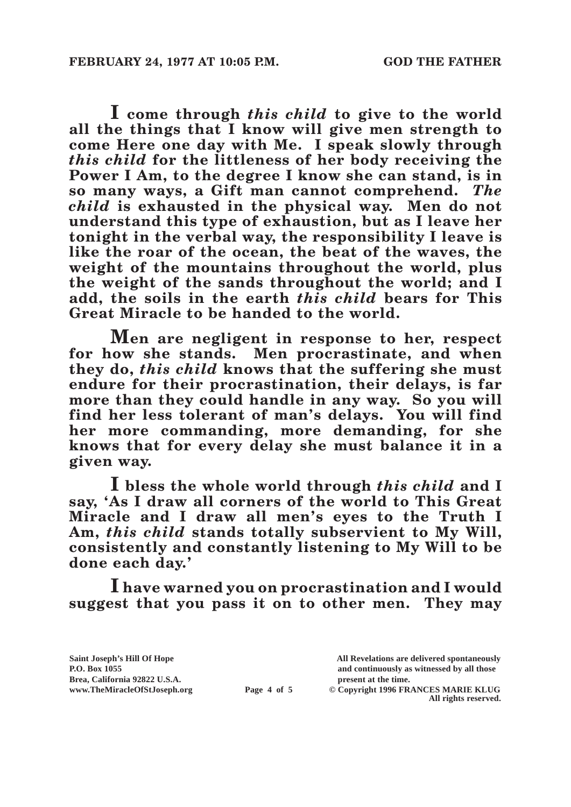**I come through** *this child* **to give to the world all the things that I know will give men strength to come Here one day with Me. I speak slowly through**  *this child* **for the littleness of her body receiving the Power I Am, to the degree I know she can stand, is in so many ways, a Gift man cannot comprehend.** *The child* **is exhausted in the physical way. Men do not understand this type of exhaustion, but as I leave her tonight in the verbal way, the responsibility I leave is like the roar of the ocean, the beat of the waves, the weight of the mountains throughout the world, plus the weight of the sands throughout the world; and I add, the soils in the earth** *this child* **bears for This Great Miracle to be handed to the world.**

**Men are negligent in response to her, respect for how she stands. Men procrastinate, and when they do,** *this child* **knows that the suffering she must endure for their procrastination, their delays, is far more than they could handle in any way. So you will find her less tolerant of man's delays. You will find her more commanding, more demanding, for she knows that for every delay she must balance it in a given way.**

**I bless the whole world through** *this child* **and I say, 'As I draw all corners of the world to This Great Miracle and I draw all men's eyes to the Truth I Am,** *this child* **stands totally subservient to My Will, consistently and constantly listening to My Will to be done each day.'**

**I have warned you on procrastination and I would suggest that you pass it on to other men. They may** 

Brea, California 92822 U.S.A.<br>
www.TheMiracleOfStJoseph.org<br> **Page 4 of 5** © Copyright 1996 FR.

**Saint Joseph's Hill Of Hope All Revelations are delivered spontaneously P.O. Box 1055 and continuously as witnessed by all those** 

 $\odot$  Copyright 1996 FRANCES MARIE KLUG **All rights reserved.**